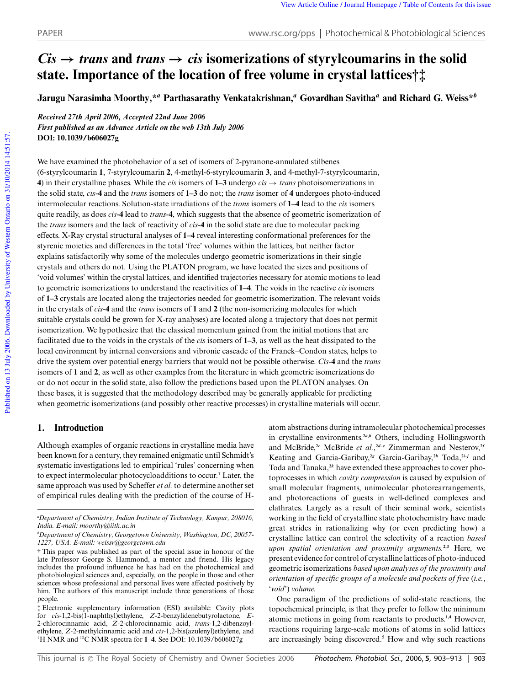# $Cis \rightarrow trans$  and *trans*  $\rightarrow cis$  isomerizations of styrylcoumarins in the solid **state. Importance of the location of free volume in crystal lattices†‡**

**Jarugu Narasimha Moorthy,\****<sup>a</sup>* **Parthasarathy Venkatakrishnan,***<sup>a</sup>* **Govardhan Savitha***<sup>a</sup>* **and Richard G. Weiss\****<sup>b</sup>*

*Received 27th April 2006, Accepted 22nd June 2006 First published as an Advance Article on the web 13th July 2006* **DOI: 10.1039/b606027g**

We have examined the photobehavior of a set of isomers of 2-pyranone-annulated stilbenes (6-styrylcoumarin **1**, 7-styrylcoumarin **2**, 4-methyl-6-styrylcoumarin **3**, and 4-methyl-7-styrylcoumarin, **4**) in their crystalline phases. While the *cis* isomers of  $1-3$  undergo *cis*  $\rightarrow$  *trans* photoisomerizations in the solid state, *cis*-**4** and the *trans* isomers of **1–3** do not; the *trans* isomer of **4** undergoes photo-induced intermolecular reactions. Solution-state irradiations of the *trans* isomers of **1–4** lead to the *cis* isomers quite readily, as does *cis*-**4** lead to *trans*-**4**, which suggests that the absence of geometric isomerization of the *trans* isomers and the lack of reactivity of *cis*-**4** in the solid state are due to molecular packing effects. X-Ray crystal structural analyses of **1–4** reveal interesting conformational preferences for the styrenic moieties and differences in the total 'free' volumes within the lattices, but neither factor explains satisfactorily why some of the molecules undergo geometric isomerizations in their single crystals and others do not. Using the PLATON program, we have located the sizes and positions of 'void volumes' within the crystal lattices, and identified trajectories necessary for atomic motions to lead to geometric isomerizations to understand the reactivities of **1–4**. The voids in the reactive *cis* isomers of **1–3** crystals are located along the trajectories needed for geometric isomerization. The relevant voids in the crystals of *cis*-**4** and the *trans* isomers of **1** and **2** (the non-isomerizing molecules for which suitable crystals could be grown for X-ray analyses) are located along a trajectory that does not permit isomerization. We hypothesize that the classical momentum gained from the initial motions that are facilitated due to the voids in the crystals of the *cis* isomers of **1–3**, as well as the heat dissipated to the local environment by internal conversions and vibronic cascade of the Franck–Condon states, helps to drive the system over potential energy barriers that would not be possible otherwise. *Cis*-**4** and the *trans* isomers of **1** and **2**, as well as other examples from the literature in which geometric isomerizations do or do not occur in the solid state, also follow the predictions based upon the PLATON analyses. On these bases, it is suggested that the methodology described may be generally applicable for predicting when geometric isomerizations (and possibly other reactive processes) in crystalline materials will occur.

# **1. Introduction**

Although examples of organic reactions in crystalline media have been known for a century, they remained enigmatic until Schmidt's systematic investigations led to empirical 'rules' concerning when to expect intermolecular photocycloadditions to occur.**<sup>1</sup>** Later, the same approach was used by Scheffer *et al.* to determine another set of empirical rules dealing with the prediction of the course of H-

atom abstractions during intramolecular photochemical processes in crystalline environments.**<sup>2</sup>***a***,***<sup>b</sup>* Others, including Hollingsworth and McBride,**<sup>2</sup>***<sup>c</sup>* McBride *et al.*, **<sup>2</sup>***d***–***<sup>e</sup>* Zimmerman and Nesterov,**<sup>2</sup>***<sup>f</sup>* Keating and Garcia-Garibay,**<sup>2</sup>***<sup>g</sup>* Garcia-Garibay,**<sup>2</sup>***<sup>h</sup>* Toda,**<sup>2</sup>***i***–***<sup>j</sup>* and Toda and Tanaka,**<sup>2</sup>***<sup>k</sup>* have extended these approaches to cover photoprocesses in which *cavity compression* is caused by expulsion of small molecular fragments, unimolecular photorearrangements, and photoreactions of guests in well-defined complexes and clathrates. Largely as a result of their seminal work, scientists working in the field of crystalline state photochemistry have made great strides in rationalizing why (or even predicting how) a crystalline lattice can control the selectivity of a reaction *based upon spatial orientation and proximity arguments.***2,3** Here, we present evidence for control of crystalline lattices of photo-induced geometric isomerizations *based upon analyses of the proximity and orientation of specific groups of a molecule and pockets of free* (*i.e.*, '*void*') *volume.*

One paradigm of the predictions of solid-state reactions, the topochemical principle, is that they prefer to follow the minimum atomic motions in going from reactants to products.**1,4** However, reactions requiring large-scale motions of atoms in solid lattices are increasingly being discovered.**<sup>5</sup>** How and why such reactions

*<sup>a</sup>Department of Chemistry, Indian Institute of Technology, Kanpur, 208016, India. E-mail: moorthy@iitk.ac.in*

*<sup>b</sup>Department of Chemistry, Georgetown University, Washington, DC, 20057- 1227, USA. E-mail: weissr@georgetown.edu*

<sup>†</sup> This paper was published as part of the special issue in honour of the late Professor George S. Hammond, a mentor and friend. His legacy includes the profound influence he has had on the photochemical and photobiological sciences and, especially, on the people in those and other sciences whose professional and personal lives were affected positively by him. The authors of this manuscript include three generations of those people.

<sup>‡</sup> Electronic supplementary information (ESI) available: Cavity plots for *cis*-1,2-bis(1-naphthyl)ethylene, *Z*-2-benzylidenebutyrolactone, *E*-2-chlorocinnamic acid, *Z*-2-chlorocinnamic acid, *trans*-1,2-dibenzoylethylene, *Z*-2-methylcinnamic acid and *cis*-1,2-bis(azulenyl)ethylene, and <sup>1</sup>H NMR and <sup>13</sup>C NMR spectra for **1–4**. See DOI: 10.1039/b606027g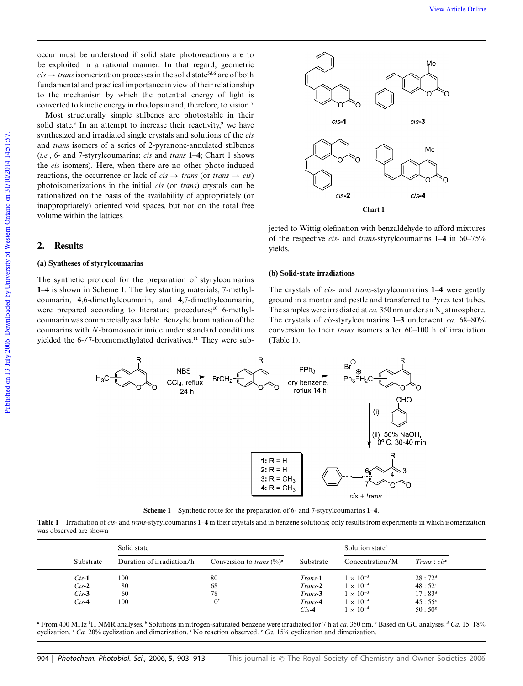occur must be understood if solid state photoreactions are to be exploited in a rational manner. In that regard, geometric  $cis \rightarrow trans$  isomerization processes in the solid state<sup>5*d*</sup>,6</sub> are of both fundamental and practical importance in view of their relationship to the mechanism by which the potential energy of light is converted to kinetic energy in rhodopsin and, therefore, to vision.**<sup>7</sup>**

Most structurally simple stilbenes are photostable in their solid state.**<sup>8</sup>** In an attempt to increase their reactivity,**<sup>9</sup>** we have synthesized and irradiated single crystals and solutions of the *cis* and *trans* isomers of a series of 2-pyranone-annulated stilbenes (*i.e.*, 6- and 7-styrylcoumarins; *cis* and *trans* **1–4**; Chart 1 shows the *cis* isomers). Here, when there are no other photo-induced reactions, the occurrence or lack of  $cis \rightarrow trans$  (or *trans*  $\rightarrow cis$ ) photoisomerizations in the initial *cis* (or *trans*) crystals can be rationalized on the basis of the availability of appropriately (or inappropriately) oriented void spaces, but not on the total free volume within the lattices.

# **2. Results**

### **(a) Syntheses of styrylcoumarins**

The synthetic protocol for the preparation of styrylcoumarins **1–4** is shown in Scheme 1. The key starting materials, 7-methylcoumarin, 4,6-dimethylcoumarin, and 4,7-dimethylcoumarin, were prepared according to literature procedures;<sup>10</sup> 6-methylcoumarin was commercially available. Benzylic bromination of the coumarins with *N*-bromosuccinimide under standard conditions yielded the 6-/7-bromomethylated derivatives.**<sup>11</sup>** They were sub-



jected to Wittig olefination with benzaldehyde to afford mixtures of the respective *cis*- and *trans*-styrylcoumarins **1–4** in 60–75% yields.

#### **(b) Solid-state irradiations**

The crystals of *cis*- and *trans*-styrylcoumarins **1–4** were gently ground in a mortar and pestle and transferred to Pyrex test tubes. The samples were irradiated at *ca*. 350 nm under an  $N_2$  atmosphere. The crystals of *cis*-styrylcoumarins **1–3** underwent *ca.* 68–80% conversion to their *trans* isomers after 60–100 h of irradiation (Table 1).



**Scheme 1** Synthetic route for the preparation of 6- and 7-styrylcoumarins **1–4**.

**Table 1** Irradiation of *cis*- and *trans*-styrylcoumarins **1–4** in their crystals and in benzene solutions; only results from experiments in which isomerization was observed are shown

|  |           | Solid state               |                                       |                | Solution state <sup>b</sup> |                         |
|--|-----------|---------------------------|---------------------------------------|----------------|-----------------------------|-------------------------|
|  | Substrate | Duration of irradiation/h | Conversion to <i>trans</i> $({\%})^a$ | Substrate      | Concentration/M             | Trans: cis <sup>c</sup> |
|  | $Cis-1$   | 100                       | 80                                    | <i>Trans-1</i> | $1 \times 10^{-3}$          | $28:72^d$               |
|  | $Cis-2$   | 80                        | 68                                    | $Trans-2$      | $1 \times 10^{-4}$          | $48:52^{e}$             |
|  | $Cis-3$   | 60                        | 78                                    | Trans-3        | $1 \times 10^{-3}$          | $17:83^d$               |
|  | $Cis-4$   | 100                       | $\alpha$                              | Trans-4        | $1 \times 10^{-4}$          | $45:55^{g}$             |
|  |           |                           |                                       | $Cis-4$        | $1 \times 10^{-4}$          | $50:50^{s}$             |

*<sup>a</sup>* From 400 MHz <sup>1</sup>H NMR analyses. *<sup>b</sup>* Solutions in nitrogen-saturated benzene were irradiated for 7 h at *ca.* 350 nm. *<sup>c</sup>* Based on GC analyses. *<sup>d</sup> Ca.* 15–18% cyclization. *<sup>e</sup> Ca.* 20% cyclization and dimerization. *<sup>f</sup>* No reaction observed. *<sup>g</sup> Ca.* 15% cyclization and dimerization.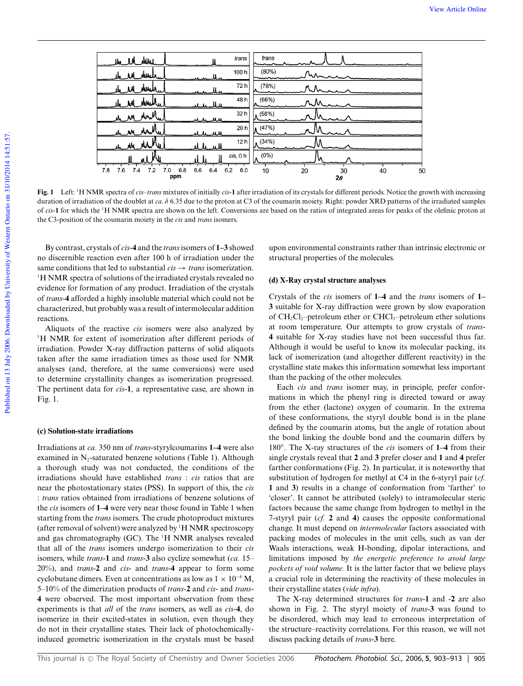

**Fig. 1** Left: <sup>1</sup>H NMR spectra of *cis*–*trans* mixtures of initially *cis*-**1** after irradiation of its crystals for different periods. Notice the growth with increasing duration of irradiation of the doublet at *ca.*  $\delta$  6.35 due to the proton at C3 of the coumarin moiety. Right: powder XRD patterns of the irradiated samples of *cis*-1 for which the <sup>1</sup>H NMR spectra are shown on the left. Conversions are based on the ratios of integrated areas for peaks of the olefinic proton at the C3-position of the coumarin moiety in the *cis* and *trans* isomers.

By contrast, crystals of *cis*-**4** and the *trans*isomers of **1–3** showed no discernible reaction even after 100 h of irradiation under the same conditions that led to substantial  $cis \rightarrow trans$  isomerization. <sup>1</sup>H NMR spectra of solutions of the irradiated crystals revealed no evidence for formation of any product. Irradiation of the crystals of *trans*-**4** afforded a highly insoluble material which could not be characterized, but probably was a result of intermolecular addition reactions.

Aliquots of the reactive *cis* isomers were also analyzed by <sup>1</sup>H NMR for extent of isomerization after different periods of irradiation. Powder X-ray diffraction patterns of solid aliquots taken after the same irradiation times as those used for NMR analyses (and, therefore, at the same conversions) were used to determine crystallinity changes as isomerization progressed. The pertinent data for *cis*-**1**, a representative case, are shown in Fig. 1.

### **(c) Solution-state irradiations**

Irradiations at *ca.* 350 nm of *trans*-styrylcoumarins **1–4** were also examined in  $N_2$ -saturated benzene solutions (Table 1). Although a thorough study was not conducted, the conditions of the irradiations should have established *trans* : *cis* ratios that are near the photostationary states (PSS). In support of this, the *cis* : *trans* ratios obtained from irradiations of benzene solutions of the *cis* isomers of **1–4** were very near those found in Table 1 when starting from the *trans* isomers. The crude photoproduct mixtures (after removal of solvent) were analyzed by <sup>1</sup>H NMR spectroscopy and gas chromatography (GC). The <sup>1</sup>H NMR analyses revealed that all of the *trans* isomers undergo isomerization to their *cis* isomers, while *trans*-**1** and *trans*-**3** also cyclize somewhat (*ca.* 15– 20%), and *trans*-**2** and *cis*- and *trans*-**4** appear to form some cyclobutane dimers. Even at concentrations as low as  $1 \times 10^{-4}$  M, 5–10% of the dimerization products of *trans*-**2** and *cis*- and *trans*-**4** were observed. The most important observation from these experiments is that *all* of the *trans* isomers, as well as *cis*-**4**, do isomerize in their excited-states in solution, even though they do not in their crystalline states. Their lack of photochemicallyinduced geometric isomerization in the crystals must be based upon environmental constraints rather than intrinsic electronic or structural properties of the molecules.

### **(d) X-Ray crystal structure analyses**

Crystals of the *cis* isomers of **1–4** and the *trans* isomers of **1– 3** suitable for X-ray diffraction were grown by slow evaporation of  $CH_2Cl_2$ -petroleum ether or  $CHCl_3$ -petroleum ether solutions at room temperature. Our attempts to grow crystals of *trans*-**4** suitable for X-ray studies have not been successful thus far. Although it would be useful to know its molecular packing, its lack of isomerization (and altogether different reactivity) in the crystalline state makes this information somewhat less important than the packing of the other molecules.

Each *cis* and *trans* isomer may, in principle, prefer conformations in which the phenyl ring is directed toward or away from the ether (lactone) oxygen of coumarin. In the extrema of these conformations, the styryl double bond is in the plane defined by the coumarin atoms, but the angle of rotation about the bond linking the double bond and the coumarin differs by 180◦ . The X-ray structures of the *cis* isomers of **1–4** from their single crystals reveal that **2** and **3** prefer closer and **1** and **4** prefer farther conformations (Fig. 2). In particular, it is noteworthy that substitution of hydrogen for methyl at C4 in the 6-styryl pair (*cf.* **1** and **3**) results in a change of conformation from 'farther' to 'closer'. It cannot be attributed (solely) to intramolecular steric factors because the same change from hydrogen to methyl in the 7-styryl pair (*cf.* **2** and **4**) causes the opposite conformational change. It must depend on *intermolecular* factors associated with packing modes of molecules in the unit cells, such as van der Waals interactions, weak H-bonding, dipolar interactions, and limitations imposed by *the energetic preference to avoid large pockets of void volume.* It is the latter factor that we believe plays a crucial role in determining the reactivity of these molecules in their crystalline states (*vide infra*).

The X-ray determined structures for *trans*-**1** and -**2** are also shown in Fig. 2. The styryl moiety of *trans*-**3** was found to be disordered, which may lead to erroneous interpretation of the structure–reactivity correlations. For this reason, we will not discuss packing details of *trans*-**3** here.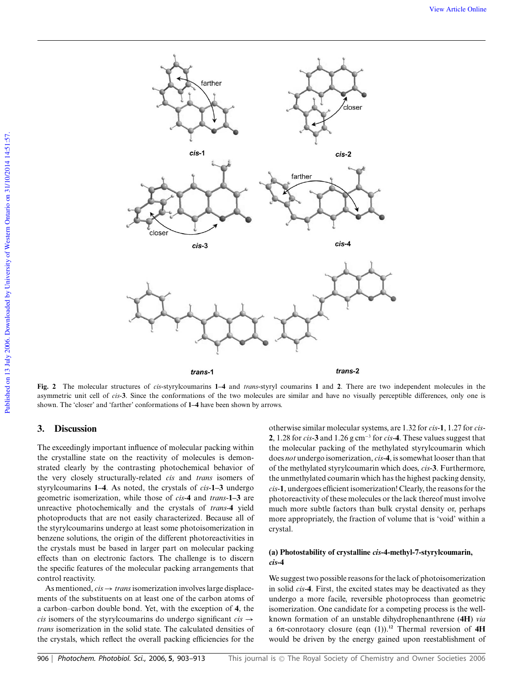

**Fig. 2** The molecular structures of *cis*-styrylcoumarins **1–4** and *trans*-styryl coumarins **1** and **2**. There are two independent molecules in the asymmetric unit cell of *cis*-**3**. Since the conformations of the two molecules are similar and have no visually perceptible differences, only one is shown. The 'closer' and 'farther' conformations of **1–4** have been shown by arrows.

# **3. Discussion**

The exceedingly important influence of molecular packing within the crystalline state on the reactivity of molecules is demonstrated clearly by the contrasting photochemical behavior of the very closely structurally-related *cis* and *trans* isomers of styrylcoumarins **1–4**. As noted, the crystals of *cis*-**1–3** undergo geometric isomerization, while those of *cis*-**4** and *trans*-**1–3** are unreactive photochemically and the crystals of *trans*-**4** yield photoproducts that are not easily characterized. Because all of the styrylcoumarins undergo at least some photoisomerization in benzene solutions, the origin of the different photoreactivities in the crystals must be based in larger part on molecular packing effects than on electronic factors. The challenge is to discern the specific features of the molecular packing arrangements that control reactivity.

As mentioned,  $cis \rightarrow trans$  isomerization involves large displacements of the substituents on at least one of the carbon atoms of a carbon–carbon double bond. Yet, with the exception of **4**, the *cis* isomers of the styrylcoumarins do undergo significant  $cis \rightarrow$ *trans* isomerization in the solid state. The calculated densities of the crystals, which reflect the overall packing efficiencies for the

otherwise similar molecular systems, are 1.32 for *cis*-**1**, 1.27 for *cis*-**2**, 1.28 for *cis*-**3** and 1.26 g cm<sup>−</sup><sup>3</sup> for *cis*-**4**. These values suggest that the molecular packing of the methylated styrylcoumarin which does *not* undergo isomerization, *cis*-**4**, is somewhat looser than that of the methylated styrylcoumarin which does, *cis*-**3**. Furthermore, the unmethylated coumarin which has the highest packing density, *cis*-**1**, undergoes efficient isomerization! Clearly, the reasons for the photoreactivity of these molecules or the lack thereof must involve much more subtle factors than bulk crystal density or, perhaps more appropriately, the fraction of volume that is 'void' within a crystal.

### **(a) Photostability of crystalline** *cis***-4-methyl-7-styrylcoumarin,** *cis***-4**

We suggest two possible reasons for the lack of photoisomerization in solid *cis*-**4**. First, the excited states may be deactivated as they undergo a more facile, reversible photoprocess than geometric isomerization. One candidate for a competing process is the wellknown formation of an unstable dihydrophenanthrene (**4H**) *via* a 6p-conrotaory closure (eqn (1)).**<sup>12</sup>** Thermal reversion of **4H** would be driven by the energy gained upon reestablishment of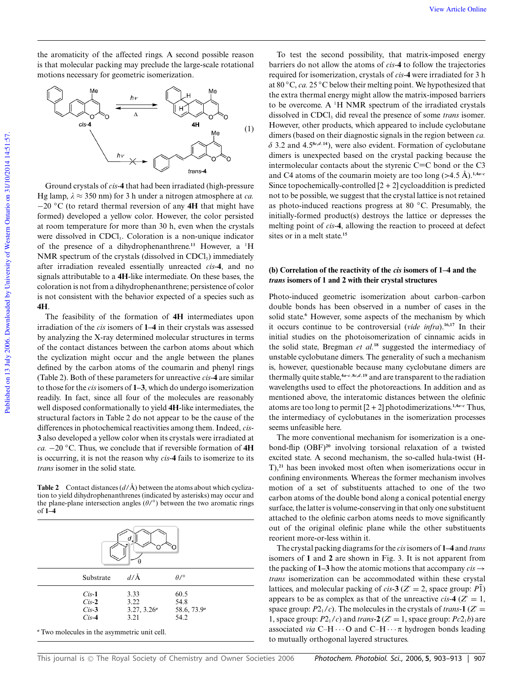the aromaticity of the affected rings. A second possible reason is that molecular packing may preclude the large-scale rotational motions necessary for geometric isomerization.



Ground crystals of *cis*-**4** that had been irradiated (high-pressure Hg lamp,  $\lambda \approx 350$  nm) for 3 h under a nitrogen atmosphere at *ca*. −20 ◦C (to retard thermal reversion of any **4H** that might have formed) developed a yellow color. However, the color persisted at room temperature for more than 30 h, even when the crystals were dissolved in CDCl<sub>3</sub>. Coloration is a non-unique indicator of the presence of a dihydrophenanthrene.**<sup>13</sup>** However, a <sup>1</sup>H NMR spectrum of the crystals (dissolved in CDCl<sub>3</sub>) immediately after irradiation revealed essentially unreacted *cis*-**4**, and no signals attributable to a **4H**-like intermediate. On these bases, the coloration is not from a dihydrophenanthrene; persistence of color is not consistent with the behavior expected of a species such as **4H**.

The feasibility of the formation of **4H** intermediates upon irradiation of the *cis* isomers of **1–4** in their crystals was assessed by analyzing the X-ray determined molecular structures in terms of the contact distances between the carbon atoms about which the cyclization might occur and the angle between the planes defined by the carbon atoms of the coumarin and phenyl rings (Table 2). Both of these parameters for unreactive *cis*-**4** are similar to those for the *cis*isomers of **1–3**, which do undergo isomerization readily. In fact, since all four of the molecules are reasonably well disposed conformationally to yield **4H**-like intermediates, the structural factors in Table 2 do not appear to be the cause of the differences in photochemical reactivities among them. Indeed, *cis*-**3** also developed a yellow color when its crystals were irradiated at *ca.* −20 ◦C. Thus, we conclude that if reversible formation of **4H** is occurring, it is not the reason why *cis*-**4** fails to isomerize to its *trans* isomer in the solid state.

**Table 2** Contact distances  $(d/\text{\AA})$  between the atoms about which cyclization to yield dihydrophenanthrenes (indicated by asterisks) may occur and the plane-plane intersection angles  $(\theta)^\circ$  between the two aromatic rings of **1–4**

| Substrate                                    | $d/\text{\AA}$ | $\theta$ /°             |  |
|----------------------------------------------|----------------|-------------------------|--|
| $Cis-1$                                      | 3.33           | 60.5                    |  |
| $Cis-2$                                      | 3.22           | 54.8                    |  |
| $Cis-3$                                      | $3.27, 3.26^a$ | 58.6, 73.9 <sup>a</sup> |  |
| $Cis-4$                                      | 3.21           | 54.2                    |  |
| " Two molecules in the asymmetric unit cell. |                |                         |  |

To test the second possibility, that matrix-imposed energy barriers do not allow the atoms of *cis*-**4** to follow the trajectories required for isomerization, crystals of *cis*-**4** were irradiated for 3 h at 80 ◦C, *ca.* 25 ◦C below their melting point. We hypothesized that the extra thermal energy might allow the matrix-imposed barriers to be overcome. A <sup>1</sup>H NMR spectrum of the irradiated crystals dissolved in CDCl<sub>3</sub> did reveal the presence of some *trans* isomer. However, other products, which appeared to include cyclobutane dimers (based on their diagnostic signals in the region between *ca.*  $\delta$  3.2 and 4.5<sup>8*c*</sup>, $d$ ,14</sup>), were also evident. Formation of cyclobutane dimers is unexpected based on the crystal packing because the intermolecular contacts about the styrenic  $C=C$  bond or the  $C3$ and C4 atoms of the coumarin moiety are too long  $(>4.5 \text{ Å})$ .<sup>1,4*a*-*c*</sub></sup> Since topochemically-controlled  $[2 + 2]$  cycloaddition is predicted not to be possible, we suggest that the crystal lattice is not retained as photo-induced reactions progress at 80 ◦C. Presumably, the initially-formed product(s) destroys the lattice or depresses the melting point of *cis*-**4**, allowing the reaction to proceed at defect sites or in a melt state.**<sup>15</sup>**

### **(b) Correlation of the reactivity of the** *cis* **isomers of 1–4 and the** *trans* **isomers of 1 and 2 with their crystal structures**

Photo-induced geometric isomerization about carbon–carbon double bonds has been observed in a number of cases in the solid state.**<sup>6</sup>** However, some aspects of the mechanism by which it occurs continue to be controversial (*vide infra*).**16,17** In their initial studies on the photoisomerization of cinnamic acids in the solid state, Bregman *et al.***<sup>18</sup>** suggested the intermediacy of unstable cyclobutane dimers. The generality of such a mechanism is, however, questionable because many cyclobutane dimers are thermally quite stable,**<sup>4</sup>***a***–***c*,**8***c***,***<sup>d</sup>* ,**<sup>19</sup>** and are transparent to the radiation wavelengths used to effect the photoreactions. In addition and as mentioned above, the interatomic distances between the olefinic atoms are too long to permit  $[2 + 2]$  photodimerizations.<sup>1,4*a*-*c*</sup> Thus, the intermediacy of cyclobutanes in the isomerization processes seems unfeasible here.

The more conventional mechanism for isomerization is a onebond-flip (OBF)**<sup>20</sup>** involving torsional relaxation of a twisted excited state. A second mechanism, the so-called hula-twist (H-T),**<sup>21</sup>** has been invoked most often when isomerizations occur in confining environments. Whereas the former mechanism involves motion of a set of substituents attached to one of the two carbon atoms of the double bond along a conical potential energy surface, the latter is volume-conserving in that only one substituent attached to the olefinic carbon atoms needs to move significantly out of the original olefinic plane while the other substituents reorient more-or-less within it.

The crystal packing diagrams for the *cis*isomers of **1–4** and *trans* isomers of **1** and **2** are shown in Fig. 3. It is not apparent from the packing of **1–3** how the atomic motions that accompany  $cis \rightarrow$ *trans* isomerization can be accommodated within these crystal lattices, and molecular packing of *cis*-3 ( $Z' = 2$ , space group:  $P\overline{1}$ ) appears to be as complex as that of the unreactive *cis*-4 ( $Z' = 1$ , space group:  $P2<sub>1</sub>/c$ ). The molecules in the crystals of *trans*-1 ( $Z'$  = 1, space group:  $P2<sub>1</sub>/c$ ) and *trans*-2( $Z' = 1$ , space group:  $Pc2<sub>1</sub>b$ ) are associated *via*  $C-H \cdots O$  and  $C-H \cdots \pi$  hydrogen bonds leading to mutually orthogonal layered structures.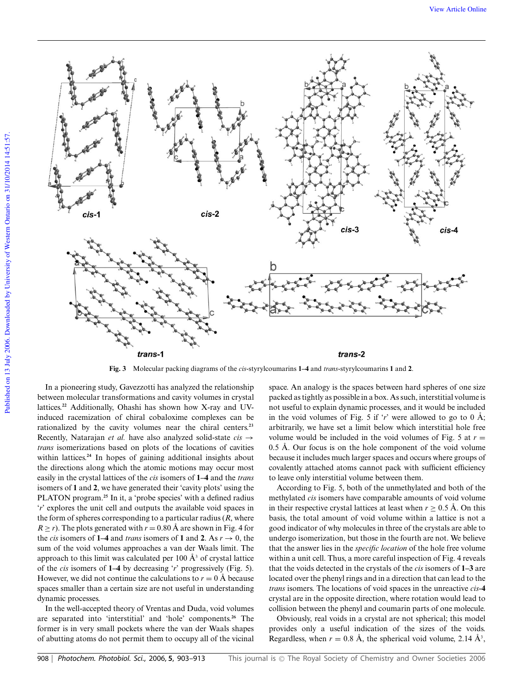

**Fig. 3** Molecular packing diagrams of the *cis*-styrylcoumarins **1–4** and *trans*-styrylcoumarins **1** and **2**.

In a pioneering study, Gavezzotti has analyzed the relationship between molecular transformations and cavity volumes in crystal lattices.**<sup>22</sup>** Additionally, Ohashi has shown how X-ray and UVinduced racemization of chiral cobaloxime complexes can be rationalized by the cavity volumes near the chiral centers.**<sup>23</sup>** Recently, Natarajan *et al.* have also analyzed solid-state  $cis \rightarrow$ *trans* isomerizations based on plots of the locations of cavities within lattices.**<sup>24</sup>** In hopes of gaining additional insights about the directions along which the atomic motions may occur most easily in the crystal lattices of the *cis* isomers of **1–4** and the *trans* isomers of **1** and **2**, we have generated their 'cavity plots' using the PLATON program.**<sup>25</sup>** In it, a 'probe species' with a defined radius '*r*' explores the unit cell and outputs the available void spaces in the form of spheres corresponding to a particular radius (*R*, where  $R \ge r$ ). The plots generated with  $r = 0.80$  Å are shown in Fig. 4 for the *cis* isomers of **1–4** and *trans* isomers of **1** and **2**. As  $r \rightarrow 0$ , the sum of the void volumes approaches a van der Waals limit. The approach to this limit was calculated per  $100 \text{ Å}^3$  of crystal lattice of the *cis* isomers of **1–4** by decreasing '*r*' progressively (Fig. 5). However, we did not continue the calculations to  $r = 0$  Å because spaces smaller than a certain size are not useful in understanding dynamic processes.

In the well-accepted theory of Vrentas and Duda, void volumes are separated into 'interstitial' and 'hole' components.**<sup>26</sup>** The former is in very small pockets where the van der Waals shapes of abutting atoms do not permit them to occupy all of the vicinal space. An analogy is the spaces between hard spheres of one size packed as tightly as possible in a box. As such, interstitial volume is not useful to explain dynamic processes, and it would be included in the void volumes of Fig. 5 if  $\dot{r}$  were allowed to go to 0 Å; arbitrarily, we have set a limit below which interstitial hole free volume would be included in the void volumes of Fig. 5 at  $r =$ 0.5 Å. Our focus is on the hole component of the void volume because it includes much larger spaces and occurs where groups of covalently attached atoms cannot pack with sufficient efficiency to leave only interstitial volume between them.

According to Fig. 5, both of the unmethylated and both of the methylated *cis* isomers have comparable amounts of void volume in their respective crystal lattices at least when  $r > 0.5$  Å. On this basis, the total amount of void volume within a lattice is not a good indicator of why molecules in three of the crystals are able to undergo isomerization, but those in the fourth are not. We believe that the answer lies in the *specific location* of the hole free volume within a unit cell. Thus, a more careful inspection of Fig. 4 reveals that the voids detected in the crystals of the *cis* isomers of **1–3** are located over the phenyl rings and in a direction that can lead to the *trans* isomers. The locations of void spaces in the unreactive *cis*-**4** crystal are in the opposite direction, where rotation would lead to collision between the phenyl and coumarin parts of one molecule.

Obviously, real voids in a crystal are not spherical; this model provides only a useful indication of the sizes of the voids. Regardless, when  $r = 0.8 \text{ Å}$ , the spherical void volume, 2.14  $\text{Å}^3$ ,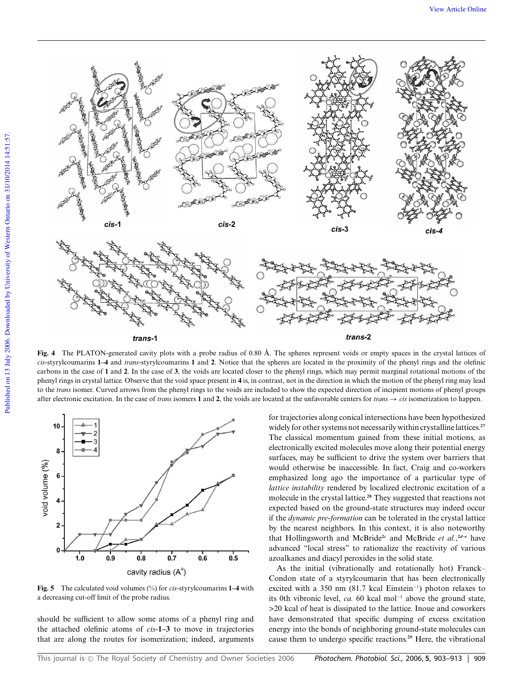

**Fig. 4** The PLATON-generated cavity plots with a probe radius of 0.80 Å. The spheres represent voids or empty spaces in the crystal lattices of *cis*-styrylcoumarins **1–4** and *trans*-styrylcoumarins **1** and **2**. Notice that the spheres are located in the proximity of the phenyl rings and the olefinic carbons in the case of **1** and **2**. In the case of **3**, the voids are located closer to the phenyl rings, which may permit marginal rotational motions of the phenyl rings in crystal lattice. Observe that the void space present in **4** is, in contrast, not in the direction in which the motion of the phenyl ring may lead to the *trans* isomer. Curved arrows from the phenyl rings to the voids are included to show the expected direction of incipient motions of phenyl groups after electronic excitation. In the case of *trans* isomers **1** and **2**, the voids are located at the unfavorable centers for *trans*  $\rightarrow$  *cis* isomerization to happen.



**Fig. 5** The calculated void volumes (%) for *cis*-styrylcoumarins **1–4** with a decreasing cut-off limit of the probe radius.

should be sufficient to allow some atoms of a phenyl ring and the attached olefinic atoms of *cis*-**1–3** to move in trajectories that are along the routes for isomerization; indeed, arguments for trajectories along conical intersections have been hypothesized widely for other systems not necessarily within crystalline lattices.**<sup>27</sup>** The classical momentum gained from these initial motions, as electronically excited molecules move along their potential energy surfaces, may be sufficient to drive the system over barriers that would otherwise be inaccessible. In fact, Craig and co-workers emphasized long ago the importance of a particular type of *lattice instability* rendered by localized electronic excitation of a molecule in the crystal lattice.**<sup>28</sup>** They suggested that reactions not expected based on the ground-state structures may indeed occur if the *dynamic pre*-*formation* can be tolerated in the crystal lattice by the nearest neighbors. In this context, it is also noteworthy that Hollingsworth and McBride**<sup>2</sup>***<sup>c</sup>* and McBride *et al.*, **<sup>2</sup>***d***–***<sup>e</sup>* have advanced "local stress" to rationalize the reactivity of various azoalkanes and diacyl peroxides in the solid state.

As the initial (vibrationally and rotationally hot) Franck– Condon state of a styrylcoumarin that has been electronically excited with a 350 nm (81.7 kcal Einstein<sup>-1</sup>) photon relaxes to its 0th vibronic level, *ca.* 60 kcal mol<sup>−</sup><sup>1</sup> above the ground state, >20 kcal of heat is dissipated to the lattice. Inoue and coworkers have demonstrated that specific dumping of excess excitation energy into the bonds of neighboring ground-state molecules can cause them to undergo specific reactions.**<sup>29</sup>** Here, the vibrational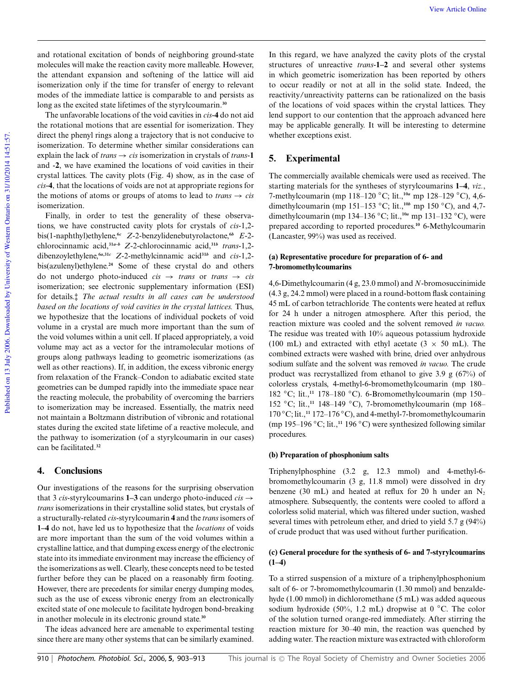and rotational excitation of bonds of neighboring ground-state molecules will make the reaction cavity more malleable. However, the attendant expansion and softening of the lattice will aid isomerization only if the time for transfer of energy to relevant modes of the immediate lattice is comparable to and persists as long as the excited state lifetimes of the styrylcoumarin.**<sup>30</sup>**

The unfavorable locations of the void cavities in *cis*-**4** do not aid the rotational motions that are essential for isomerization. They direct the phenyl rings along a trajectory that is not conducive to isomerization. To determine whether similar considerations can explain the lack of *trans*  $\rightarrow$  *cis* isomerization in crystals of *trans*-1 and -**2**, we have examined the locations of void cavities in their crystal lattices. The cavity plots (Fig. 4) show, as in the case of *cis*-**4**, that the locations of voids are not at appropriate regions for the motions of atoms or groups of atoms to lead to  $trans \rightarrow cis$ isomerization.

Finally, in order to test the generality of these observations, we have constructed cavity plots for crystals of *cis*-1,2 bis(1-naphthyl)ethylene,**<sup>6</sup>***<sup>c</sup> Z*-2-benzylidenebutyrolactone,**<sup>6</sup>***<sup>b</sup> E*-2 chlorocinnamic acid,**<sup>31</sup>***a***–***<sup>b</sup> Z*-2-chlorocinnamic acid,**<sup>31</sup>***<sup>b</sup> trans*-1,2 dibenzoylethylene,**<sup>6</sup>***a***,31***<sup>c</sup> Z*-2-methylcinnamic acid**<sup>31</sup>***<sup>b</sup>* and *cis*-1,2 bis(azulenyl)ethylene.**<sup>24</sup>** Some of these crystal do and others do not undergo photo-induced  $cis \rightarrow trans$  or *trans*  $\rightarrow cis$ isomerization; see electronic supplementary information (ESI) for details.‡ *The actual results in all cases can be understood based on the locations of void cavities in the crystal lattices.* Thus, we hypothesize that the locations of individual pockets of void volume in a crystal are much more important than the sum of the void volumes within a unit cell. If placed appropriately, a void volume may act as a vector for the intramolecular motions of groups along pathways leading to geometric isomerizations (as well as other reactions). If, in addition, the excess vibronic energy from relaxation of the Franck–Condon to adiabatic excited state geometries can be dumped rapidly into the immediate space near the reacting molecule, the probability of overcoming the barriers to isomerization may be increased. Essentially, the matrix need not maintain a Boltzmann distribution of vibronic and rotational states during the excited state lifetime of a reactive molecule, and the pathway to isomerization (of a styrylcoumarin in our cases) can be facilitated.**<sup>32</sup>**

# **4. Conclusions**

Our investigations of the reasons for the surprising observation that 3 *cis*-styryl coumarins **1–3** can undergo photo-induced  $cis \rightarrow$ *trans* isomerizations in their crystalline solid states, but crystals of a structurally-related *cis*-styrylcoumarin **4** and the *trans*isomers of **1–4** do not, have led us to hypothesize that the *locations* of voids are more important than the sum of the void volumes within a crystalline lattice, and that dumping excess energy of the electronic state into its immediate environment may increase the efficiency of the isomerizations as well. Clearly, these concepts need to be tested further before they can be placed on a reasonably firm footing. However, there are precedents for similar energy dumping modes, such as the use of excess vibronic energy from an electronically excited state of one molecule to facilitate hydrogen bond-breaking in another molecule in its electronic ground state.**<sup>30</sup>**

The ideas advanced here are amenable to experimental testing since there are many other systems that can be similarly examined.

In this regard, we have analyzed the cavity plots of the crystal structures of unreactive *trans*-**1–2** and several other systems in which geometric isomerization has been reported by others to occur readily or not at all in the solid state. Indeed, the reactivity/unreactivity patterns can be rationalized on the basis of the locations of void spaces within the crystal lattices. They lend support to our contention that the approach advanced here may be applicable generally. It will be interesting to determine whether exceptions exist.

# **5. Experimental**

The commercially available chemicals were used as received. The starting materials for the syntheses of styrylcoumarins **1–4**, *viz.*, 7-methylcoumarin (mp 118–120 ◦C; lit.,**<sup>10</sup>***<sup>a</sup>* mp 128–129 ◦C), 4,6 dimethylcoumarin (mp 151–153 ◦C; lit.,**<sup>10</sup>***<sup>b</sup>* mp 150 ◦C), and 4,7 dimethylcoumarin (mp 134–136 ◦C; lit.,**<sup>10</sup>***<sup>a</sup>* mp 131–132 ◦C), were prepared according to reported procedures.**<sup>10</sup>** 6-Methylcoumarin (Lancaster, 99%) was used as received.

# **(a) Representative procedure for preparation of 6- and 7-bromomethylcoumarins**

4,6-Dimethylcoumarin (4 g, 23.0 mmol) and *N*-bromosuccinimide (4.3 g, 24.2 mmol) were placed in a round-bottom flask containing 45 mL of carbon tetrachloride. The contents were heated at reflux for 24 h under a nitrogen atmosphere. After this period, the reaction mixture was cooled and the solvent removed *in vacuo.* The residue was treated with 10% aqueous potassium hydroxide (100 mL) and extracted with ethyl acetate ( $3 \times 50$  mL). The combined extracts were washed with brine, dried over anhydrous sodium sulfate and the solvent was removed *in vacuo.* The crude product was recrystallized from ethanol to give 3.9 g (67%) of colorless crystals, 4-methyl-6-bromomethylcoumarin (mp 180– 182 ◦C; lit.,**<sup>11</sup>** 178–180 ◦C). 6-Bromomethylcoumarin (mp 150– 152 ◦C; lit.,**<sup>11</sup>** 148–149 ◦C), 7-bromomethylcoumarin (mp 168– 170 ◦C; lit.,**<sup>11</sup>** 172–176 ◦C), and 4-methyl-7-bromomethylcoumarin (mp 195–196 ◦C; lit.,**<sup>11</sup>** 196 ◦C) were synthesized following similar procedures.

# **(b) Preparation of phosphonium salts**

Triphenylphosphine (3.2 g, 12.3 mmol) and 4-methyl-6 bromomethylcoumarin (3 g, 11.8 mmol) were dissolved in dry benzene (30 mL) and heated at reflux for 20 h under an  $N_2$ atmosphere. Subsequently, the contents were cooled to afford a colorless solid material, which was filtered under suction, washed several times with petroleum ether, and dried to yield 5.7 g (94%) of crude product that was used without further purification.

### **(c) General procedure for the synthesis of 6- and 7-styrylcoumarins (1–4)**

To a stirred suspension of a mixture of a triphenylphosphonium salt of 6- or 7-bromomethylcoumarin (1.30 mmol) and benzaldehyde (1.00 mmol) in dichloromethane (5 mL) was added aqueous sodium hydroxide (50%, 1.2 mL) dropwise at 0 ◦C. The color of the solution turned orange-red immediately. After stirring the reaction mixture for 30–40 min, the reaction was quenched by adding water. The reaction mixture was extracted with chloroform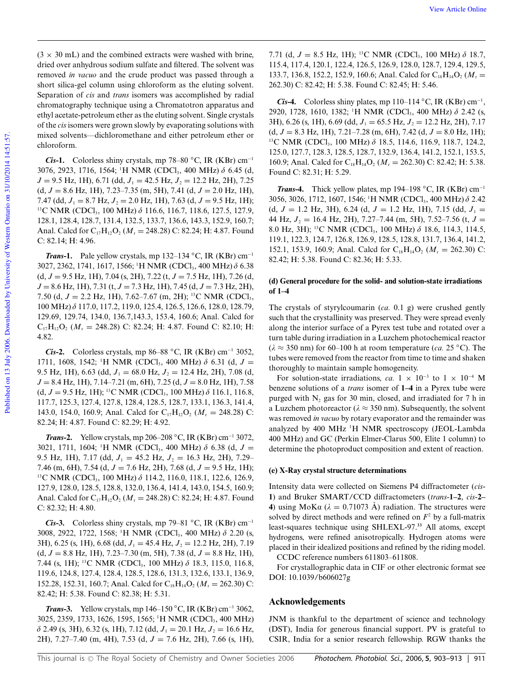$(3 \times 30 \text{ mL})$  and the combined extracts were washed with brine, dried over anhydrous sodium sulfate and filtered. The solvent was removed *in vacuo* and the crude product was passed through a short silica-gel column using chloroform as the eluting solvent. Separation of *cis* and *trans* isomers was accomplished by radial chromatography technique using a Chromatotron apparatus and ethyl acetate-petroleum ether as the eluting solvent. Single crystals of the *cis* isomers were grown slowly by evaporating solutions with mixed solvents—dichloromethane and either petroleum ether or chloroform.

*Cis***-1.** Colorless shiny crystals, mp 78–80 °C, IR (KBr) cm<sup>-1</sup> 3076, 2923, 1716, 1564; <sup>1</sup>H NMR (CDCl<sub>3</sub>, 400 MHz)  $\delta$  6.45 (d,  $J = 9.5$  Hz, 1H), 6.71 (dd,  $J_1 = 42.5$  Hz,  $J_2 = 12.2$  Hz, 2H), 7.25 (d, *J* = 8.6 Hz, 1H), 7.23–7.35 (m, 5H), 7.41 (d, *J* = 2.0 Hz, 1H), 7.47 (dd,  $J_1 = 8.7$  Hz,  $J_2 = 2.0$  Hz, 1H), 7.63 (d,  $J = 9.5$  Hz, 1H); <sup>13</sup>C NMR (CDCl<sub>3</sub>, 100 MHz)  $\delta$  116.6, 116.7, 118.6, 127.5, 127.9, 128.1, 128.4, 128.7, 131.4, 132.5, 133.7, 136.6, 143.3, 152.9, 160.7; Anal. Calcd for  $C_{17}H_{12}O_2$  ( $M_r = 248.28$ ) C: 82.24; H: 4.87. Found C: 82.14; H: 4.96.

*Trans***-1.** Pale yellow crystals, mp 132–134 °C, IR (KBr) cm<sup>-1</sup> 3027, 2362, 1741, 1617, 1566; <sup>1</sup>H NMR (CDCl<sub>3</sub>, 400 MHz)  $\delta$  6.38 (d, *J* = 9.5 Hz, 1H), 7.04 (s, 2H), 7.22 (t, *J* = 7.5 Hz, 1H), 7.26 (d, *J* = 8.6 Hz, 1H), 7.31 (t, *J* = 7.3 Hz, 1H), 7.45 (d, *J* = 7.3 Hz, 2H), 7.50 (d, *J* = 2.2 Hz, 1H), 7.62–7.67 (m, 2H); <sup>13</sup>C NMR (CDCl<sub>3</sub>, 100 MHz) d 117.0, 117.2, 119.0, 125.4, 126.5, 126.6, 128.0, 128.79, 129.69, 129.74, 134.0, 136.7,143.3, 153.4, 160.6; Anal. Calcd for  $C_{17}H_{12}O_2$  ( $M_r = 248.28$ ) C: 82.24; H: 4.87. Found C: 82.10; H: 4.82.

*Cis***-2.** Colorless crystals, mp 86–88 ◦C, IR (KBr) cm<sup>−</sup><sup>1</sup> 3052, 1711, 1608, 1542; <sup>1</sup>H NMR (CDCl<sub>3</sub>, 400 MHz)  $\delta$  6.31 (d,  $J =$ 9.5 Hz, 1H), 6.63 (dd,  $J_1 = 68.0$  Hz,  $J_2 = 12.4$  Hz, 2H), 7.08 (d, *J* = 8.4 Hz, 1H), 7.14–7.21 (m, 6H), 7.25 (d, *J* = 8.0 Hz, 1H), 7.58  $(d, J = 9.5 \text{ Hz}, 1\text{H})$ ; <sup>13</sup>C NMR (CDCl<sub>3</sub>, 100 MHz)  $\delta$  116.1, 116.8, 117.7, 125.3, 127.4, 127.8, 128.4, 128.5, 128.7, 133.1, 136.3, 141.4, 143.0, 154.0, 160.9; Anal. Calcd for  $C_{17}H_{12}O_2$  ( $M_r = 248.28$ ) C: 82.24; H: 4.87. Found C: 82.29; H: 4.92.

*Trans***-2.** Yellow crystals, mp 206–208 ◦C, IR (KBr) cm<sup>−</sup><sup>1</sup> 3072, 3021, 1711, 1604; <sup>1</sup>H NMR (CDCl<sub>3</sub>, 400 MHz)  $\delta$  6.38 (d,  $J =$ 9.5 Hz, 1H), 7.17 (dd, *J*<sup>1</sup> = 45.2 Hz, *J*<sup>2</sup> = 16.3 Hz, 2H), 7.29– 7.46 (m, 6H), 7.54 (d, *J* = 7.6 Hz, 2H), 7.68 (d, *J* = 9.5 Hz, 1H); <sup>13</sup>C NMR (CDCl<sub>3</sub>, 100 MHz)  $\delta$  114.2, 116.0, 118.1, 122.6, 126.9, 127.9, 128.0, 128.5, 128.8, 132.0, 136.4, 141.4, 143.0, 154.5, 160.9; Anal. Calcd for  $C_{17}H_{12}O_2$  ( $M_r = 248.28$ ) C: 82.24; H: 4.87. Found C: 82.32; H: 4.80.

*Cis***-3.** Colorless shiny crystals, mp 79–81 ◦C, IR (KBr) cm<sup>−</sup><sup>1</sup> 3008, 2922, 1722, 1568; <sup>1</sup>H NMR (CDCl<sub>3</sub>, 400 MHz)  $\delta$  2.20 (s, 3H), 6.25 (s, 1H), 6.68 (dd, *J*<sup>1</sup> = 45.4 Hz, *J*<sup>2</sup> = 12.2 Hz, 2H), 7.19  $(d, J = 8.8 \text{ Hz}, 1\text{H}), 7.23-7.30 \text{ (m, 5H)}, 7.38 \text{ (d, } J = 8.8 \text{ Hz}, 1\text{H}),$ 7.44 (s, 1H); <sup>13</sup>C NMR (CDCl<sub>3</sub>, 100 MHz)  $\delta$  18.3, 115.0, 116.8, 119.6, 124.8, 127.4, 128.4, 128.5, 128.6, 131.3, 132.6, 133.1, 136.9, 152.28, 152.31, 160.7; Anal. Calcd for  $C_{18}H_{14}O_2$  ( $M_r = 262.30$ ) C: 82.42; H: 5.38. Found C: 82.38; H: 5.31.

*Trans***-3.** Yellow crystals, mp 146–150 ◦C, IR (KBr) cm<sup>−</sup><sup>1</sup> 3062, 3025, 2359, 1733, 1626, 1595, 1565; <sup>1</sup>H NMR (CDCl<sub>3</sub>, 400 MHz)  $\delta$  2.49 (s, 3H), 6.32 (s, 1H), 7.12 (dd,  $J_1 = 20.1$  Hz,  $J_2 = 16.6$  Hz, 2H), 7.27–7.40 (m, 4H), 7.53 (d, *J* = 7.6 Hz, 2H), 7.66 (s, 1H),

7.71 (d,  $J = 8.5$  Hz, 1H); <sup>13</sup>C NMR (CDCl<sub>3</sub>, 100 MHz)  $\delta$  18.7, 115.4, 117.4, 120.1, 122.4, 126.5, 126.9, 128.0, 128.7, 129.4, 129.5, 133.7, 136.8, 152.2, 152.9, 160.6; Anal. Calcd for  $C_{18}H_{14}O_2$  ( $M_r =$ 262.30) C: 82.42; H: 5.38. Found C: 82.45; H: 5.46.

*Cis***-4.** Colorless shiny plates, mp 110–114 °C, IR (KBr) cm<sup>-1</sup>, 2920, 1728, 1610, 1382; <sup>1</sup>H NMR (CDCl<sub>3</sub>, 400 MHz) δ 2.42 (s, 3H), 6.26 (s, 1H), 6.69 (dd, *J*<sup>1</sup> = 65.5 Hz, *J*<sup>2</sup> = 12.2 Hz, 2H), 7.17 (d, *J* = 8.3 Hz, 1H), 7.21–7.28 (m, 6H), 7.42 (d, *J* = 8.0 Hz, 1H); <sup>13</sup>C NMR (CDCl<sub>3</sub>, 100 MHz)  $\delta$  18.5, 114.6, 116.9, 118.7, 124.2, 125.0, 127.7, 128.3, 128.5, 128.7, 132.9, 136.4, 141.2, 152.1, 153.5, 160.9; Anal. Calcd for  $C_{18}H_{14}O_2$  ( $M_r = 262.30$ ) C: 82.42; H: 5.38. Found C: 82.31; H: 5.29.

*Trans***-4.** Thick yellow plates, mp 194–198 °C, IR (KBr) cm<sup>-1</sup> 3056, 3026, 1712, 1607, 1546; <sup>1</sup>H NMR (CDCl<sub>3</sub>, 400 MHz)  $\delta$  2.42 (d,  $J = 1.2$  Hz, 3H), 6.24 (d,  $J = 1.2$  Hz, 1H), 7.15 (dd,  $J_1 =$ 44 Hz, *J*<sup>2</sup> = 16.4 Hz, 2H), 7.27–7.44 (m, 5H), 7.52–7.56 (t, *J* = 8.0 Hz, 3H); <sup>13</sup>C NMR (CDCl<sub>3</sub>, 100 MHz)  $\delta$  18.6, 114.3, 114.5, 119.1, 122.3, 124.7, 126.8, 126.9, 128.5, 128.8, 131.7, 136.4, 141.2, 152.1, 153.9, 160.9; Anal. Calcd for  $C_{18}H_{14}O_2$  ( $M_r = 262.30$ ) C: 82.42; H: 5.38. Found C: 82.36; H: 5.33.

### **(d) General procedure for the solid- and solution-state irradiations of 1–4**

The crystals of styrylcoumarin (*ca.* 0.1 g) were crushed gently such that the crystallinity was preserved. They were spread evenly along the interior surface of a Pyrex test tube and rotated over a turn table during irradiation in a Luzchem photochemical reactor  $(\lambda \approx 350 \text{ nm})$  for 60–100 h at room temperature (*ca.* 25 °C). The tubes were removed from the reactor from time to time and shaken thoroughly to maintain sample homogeneity.

For solution-state irradiations, *ca.*  $1 \times 10^{-3}$  to  $1 \times 10^{-4}$  M benzene solutions of a *trans* isomer of **1–4** in a Pyrex tube were purged with  $N_2$  gas for 30 min, closed, and irradiated for 7 h in a Luzchem photoreactor ( $\lambda \approx 350$  nm). Subsequently, the solvent was removed *in vacuo* by rotary evaporator and the remainder was analyzed by 400 MHz <sup>1</sup>H NMR spectroscopy (JEOL-Lambda 400 MHz) and GC (Perkin Elmer-Clarus 500, Elite 1 column) to determine the photoproduct composition and extent of reaction.

### **(e) X-Ray crystal structure determinations**

Intensity data were collected on Siemens P4 diffractometer (*cis*-**1**) and Bruker SMART/CCD diffractometers (*trans*-**1–2**, *cis*-**2– 4**) using MoKa ( $\lambda = 0.71073$  Å) radiation. The structures were solved by direct methods and were refined on  $F<sup>2</sup>$  by a full-matrix least-squares technique using SHLEXL-97.**<sup>33</sup>** All atoms, except hydrogens, were refined anisotropically. Hydrogen atoms were placed in their idealized positions and refined by the riding model.

CCDC reference numbers 611803–611808.

For crystallographic data in CIF or other electronic format see DOI: 10.1039/b606027g

### **Acknowledgements**

JNM is thankful to the department of science and technology (DST), India for generous financial support. PV is grateful to CSIR, India for a senior research fellowship. RGW thanks the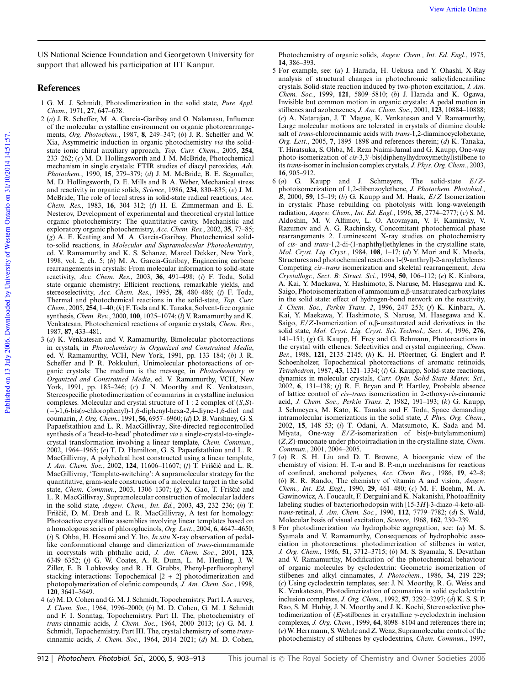US National Science Foundation and Georgetown University for support that allowed his participation at IIT Kanpur.

# **References**

- 1 G. M. J. Schmidt, Photodimerization in the solid state, *Pure Appl. Chem.*, 1971, **27**, 647–678.
- 2 (*a*) J. R. Scheffer, M. A. Garcia-Garibay and O. Nalamasu, Influence of the molecular crystalline environment on organic photorearrangements, *Org. Photochem.*, 1987, **8**, 249–347; (*b*) J. R. Scheffer and W. Xia, Asymmetric induction in organic photochemistry *via* the solidstate ionic chiral auxiliary approach, *Top. Curr. Chem.*, 2005, **254**, 233–262; (*c*) M. D. Hollingsworth and J. M. McBride, Photochemical mechanism in single crystals: FTIR studies of diacyl peroxides, *Adv. Photochem.*, 1990, **15**, 279–379; (*d*) J. M. McBride, B. E. Segmuller, M. D. Hollingsworth, D. E. Mills and B. A. Weber, Mechanical stress and reactivity in organic solids, *Science*, 1986, **234**, 830–835; (*e*) J. M. McBride, The role of local stress in solid-state radical reactions, *Acc. Chem. Res.*, 1983, **16**, 304–312; (*f*) H. E. Zimmerman and E. E. Nesterov, Development of experimental and theoretical crystal lattice organic photochemistry: The quantitative cavity. Mechanistic and exploratory organic photochemistry, *Acc. Chem. Res.*, 2002, **35**, 77–85; (*g*) A. E. Keating and M. A. Garcia-Garibay, Photochemical solidto-solid reactions, in *Molecular and Supramolecular Photochemistry*, ed. V. Ramamurthy and K. S. Schanze, Marcel Dekker, New York, 1998, vol. 2, ch. 5; (*h*) M. A. Garcia-Garibay, Engineering carbene rearrangements in crystals: From molecular information to solid-state reactivity, *Acc. Chem. Res.*, 2003, **36**, 491–498; (*i*) F. Toda, Solid state organic chemistry: Efficient reactions, remarkable yields, and stereoselectivity, *Acc. Chem. Res.*, 1995, **28**, 480–486; (*j*) F. Toda, Thermal and photochemical reactions in the solid-state, *Top. Curr. Chem.*, 2005, **254**, 1–40; (*k*) F. Toda and K. Tanaka, Solvent-free organic synthesis, *Chem. Rev.*, 2000, **100**, 1025–1074; (*l*) V. Ramamurthy and K. Venkatesan, Photochemical reactions of organic crystals, *Chem. Rev.*, 1987, **87**, 433–481.
- 3 (*a*) K. Venkatesan and V. Ramamurthy, Bimolecular photoreactions in crystals, in *Photochemistry in Organized and Constrained Media*, ed. V. Ramamurthy, VCH, New York, 1991, pp. 133–184; (*b*) J. R. Scheffer and P. R. Pokkuluri, Unimolecular photoreactions of organic crystals: The medium is the message, in *Photochemistry in Organized and Constrained Media*, ed. V. Ramamurthy, VCH, New York, 1991, pp. 185–246; (*c*) J. N. Moorthy and K. Venkatesan, Stereospecific photodimerization of coumarins in crystalline inclusion complexes. Molecular and crystal structure of 1 : 2 complex of (*S*,*S*)- (−)-1,6-bis(*o*-chlorophenyl)-1,6-diphenyl-hexa-2,4-diyne-1,6-diol and coumarin, *J. Org. Chem.*, 1991, **56**, 6957–6960; (*d*) D. B. Varshney, G. S. Papaefstathiou and L. R. MacGillivray, Site-directed regiocontrolled synthesis of a 'head-to-head' photodimer *via* a single-crystal-to-singlecrystal transformation involving a linear template, *Chem. Commun.*, 2002, 1964–1965; (*e*) T. D. Hamilton, G. S. Papaefstathiou and L. R. MacGillivray, A polyhedral host constructed using a linear template, *J. Am. Chem. Soc.*, 2002, 124, 11606–11607; (*f*) T. Friščič and L. R. MacGillivray, 'Template-switching': A supramolecular strategy for the quantitative, gram-scale construction of a molecular target in the solid state, *Chem. Commun.*, 2003, 1306–1307; (g) X. Gao, T. Friščič and L. R. MacGillivray, Supramolecular construction of molecular ladders in the solid state, *Angew. Chem., Int. Ed.*, 2003, **43**, 232–236; (*h*) T. Friščič, D. M. Drab and L. R. MacGillivray, A test for homology: Photoactive crystalline assemblies involving linear templates based on a homologous series of phloroglucinols, *Org. Lett.*, 2004, **6**, 4647–4650; (*i*) S. Ohba, H. Hosomi and Y. Ito, *In situ* X-ray observation of pedallike conformational change and dimerization of *trans*-cinnamamide in cocrystals with phthalic acid, *J. Am. Chem. Soc.*, 2001, **123**, 6349–6352; (*j*) G. W. Coates, A. R. Dunn, L. M. Henling, J. W. Ziller, E. B. Lobkovsky and R. H. Grubbs, Phenyl-perfluorophenyl stacking interactions: Topochemical  $[2 + 2]$  photodimerization and photopolymerization of olefinic compounds, *J. Am. Chem. Soc.*, 1998, **120**, 3641–3649.
- 4 (*a*) M. D. Cohen and G. M. J. Schmidt, Topochemistry. Part I. A survey, *J. Chem. Soc.*, 1964, 1996–2000; (*b*) M. D. Cohen, G. M. J. Schmidt and F. I. Sonntag, Topochemistry. Part II. The, photochemistry of *trans*-cinnamic acids, *J. Chem. Soc.*, 1964, 2000–2013; (*c*) G. M. J. Schmidt, Topochemistry. Part III. The, crystal chemistry of some *trans*cinnamic acids, *J. Chem. Soc.*, 1964, 2014–2021; (*d*) M. D. Cohen,

Photochemistry of organic solids, *Angew. Chem., Int. Ed. Engl.*, 1975, **14**, 386–393.

- 5 For example, see: (*a*) J. Harada, H. Uekusa and Y. Ohashi, X-Ray analysis of structural changes in photochromic salicylideneaniline crystals. Solid-state reaction induced by two-photon excitation, *J. Am. Chem. Soc.*, 1999, **121**, 5809–5810; (*b*) J. Harada and K. Ogawa, Invisible but common motion in organic crystals: A pedal motion in stilbenes and azobenzenes, *J. Am. Chem. Soc.*, 2001, **123**, 10884–10888; (*c*) A. Natarajan, J. T. Mague, K. Venkatesan and V. Ramamurthy, Large molecular motions are tolerated in crystals of diamine double salt of *trans*-chlorocinnamic acids with *trans*-1,2-diaminocyclohexane, *Org. Lett.*, 2005, **7**, 1895–1898 and references therein; (*d*) K. Tanaka, T. Hiratsuka, S. Ohba, M. Reza Naimi-Jamal and G. Kaupp, One-way photo-isomerization of *cis*-3,3′ -bis(diphenylhydroxymethyl)stilbene to its*trans*-isomer in inclusion complex crystals, *J. Phys. Org. Chem.*, 2003, **16**, 905–912.
- 6 (*a*) G. Kaupp and J. Schmeyers, The solid-state *E*/*Z*photoisomerization of 1,2-dibenzoylethene, *J. Photochem. Photobiol., B*, 2000, **59**, 15–19; (*b*) G. Kaupp and M. Haak, *E*/*Z* Isomerization in crystals: Phase rebuilding on photolysis with long-wavelength radiation, *Angew. Chem., Int. Ed. Engl.*, 1996, **35**, 2774–2777; (*c*) S. M. Aldoshin, M. V. Alfimov, L. O. Atovmyan, V. F. Kaminsky, V. Razumov and A. G. Rachinsky, Concomitant photochemical phase rearrangements 2. Luminescent X-ray studies on photochemistry of *cis*- and *trans*-1,2-di-(1-naphthyl)ethylenes in the crystalline state, *Mol. Cryst. Liq. Cryst.*, 1984, **108**, 1–17; (*d*) Y. Mori and K. Maeda, Structures and photochemical reactions 1-(9-anthryl)-2-aroylethylenes: Competing *cis*–*trans* isomerization and skeletal rearrangement, *Acta Crystallogr., Sect. B: Struct. Sci.*, 1994, **50**, 106–112; (*e*) K. Kinbara, A. Kai, Y. Maekawa, Y. Hashimoto, S. Naruse, M. Hasegawa and K. Saigo, Photoisomerization of ammonium  $\alpha$ ,  $\beta$ -unsaturated carboxylates in the solid state: effect of hydrogen-bond network on the reactivity, *J. Chem. Soc., Perkin Trans. 2*, 1996, 247–253; (*f*) K. Kinbara, A. Kai, Y. Maekawa, Y. Hashimoto, S. Naruse, M. Hasegawa and K. Saigo,  $E/Z$ -Isomerization of  $\alpha$ , $\beta$ -unsaturated acid derivatives in the solid state, *Mol. Cryst. Liq. Cryst. Sci. Technol., Sect. A*, 1996, **276**, 141–151; (*g*) G. Kaupp, H. Frey and G. Behmann, Photoreactions in the crystal with ethenes: Selectivities and crystal engineering, *Chem. Ber.*, 1988, **121**, 2135–2145; (*h*) K. H. Pfoertner, G. Englert and P. Schoenholzer, Topochemical photoreactions of aromatic retinoids, *Tetrahedron*, 1987, **43**, 1321–1334; (*i*) G. Kaupp, Solid-state reactions, dynamics in molecular crystals, *Curr. Opin. Solid State Mater. Sci.*, 2002, **6**, 131–138; (*j*) R. F. Bryan and P. Hartley, Probable absence of lattice control of *cis*–*trans* isomerization in 2-ethoxy-*cis*-cinnamic acid, *J. Chem. Soc., Perkin Trans. 2*, 1982, 191–193; (*k*) G. Kaupp, J. Schmeyers, M. Kato, K. Tanaka and F. Toda, Space demanding intramolecular isomerizations in the solid state, *J. Phys. Org. Chem.*, 2002, **15**, 148–53; (*l*) T. Odani, A. Matsumoto, K. Sada and M. Miyata, One-way *E*/*Z*-isomerization of bis(*n*-butylammonium) (*Z*,*Z*)-muconate under photoirradiation in the crystalline state, *Chem. Commun.*, 2001, 2004–2005.
- 7 (*a*) R. S. H. Liu and D. T. Browne, A bioorganic view of the chemistry of vision: H. T.-n and B. P.-m,n mechanisms for reactions of confined, anchored polyenes, *Acc. Chem. Res.*, 1986, **19**, 42–8; (*b*) R. R. Rando, The chemistry of vitamin A and vision, *Angew. Chem., Int. Ed. Engl.*, 1990, **29**, 461–480; (*c*) M. F. Boehm, M. A. Gawinowicz, A. Foucault, F. Derguini and K. Nakanishi, Photoaffinity labeling studies of bacteriorhodopsin with [15-3*H*]-3-diazo-4-keto-all*trans*-retinal, *J. Am. Chem. Soc.*, 1990, **112**, 7779–7782; (*d*) S. Wald, Molecular basis of visual excitation, *Science*, 1968, **162**, 230–239.
- 8 For photodimerization *via* hydrophobic aggregation, see: (*a*) M. S. Syamala and V. Ramamurthy, Consequences of hydrophobic association in photoreactions: photodimerization of stilbenes in water, *J. Org. Chem.*, 1986, **51**, 3712–3715; (*b*) M. S. Syamala, S. Devathan and V. Ramamurthy, Modification of the photochemical behaviour of organic molecules by cyclodextrin: Geometric isomerization of stilbenes and alkyl cinnamates, *J. Photochem.*, 1986, **34**, 219–229; (*c*) Using cyclodextrin templates, see: J. N. Moorthy, R. G. Weiss and K. Venkatesan, Photodimerization of coumarins in solid cyclodextrin inclusion complexes, *J. Org. Chem.*, 1992, **57**, 3292–3297; (*d*) K. S. S. P. Rao, S. M. Hubig, J. N. Moorthy and J. K. Kochi, Stereoselective photodimerization of  $(E)$ -stilbenes in crystalline  $\gamma$ -cyclodextrin inclusion complexes, *J. Org. Chem.*, 1999, **64**, 8098–8104 and references there in; (*e*)W. Herrmann, S.Wehrle and Z.Wenz, Supramolecular control of the photochemistry of stilbenes by cyclodextrins, *Chem. Commun.*, 1997,